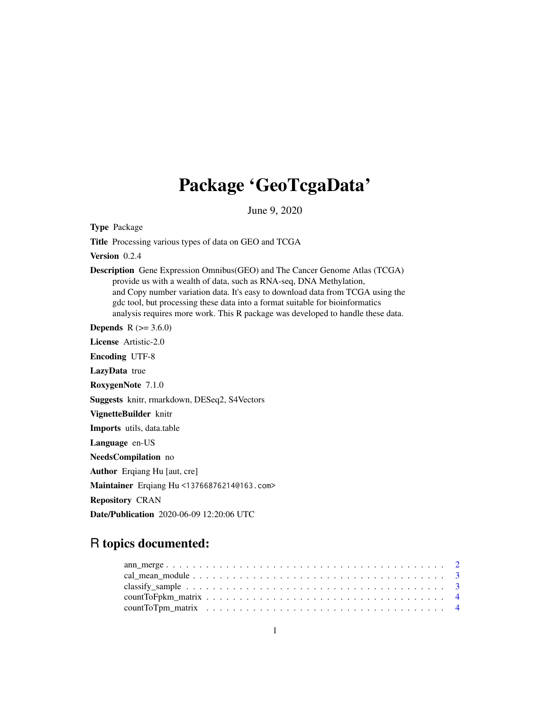## Package 'GeoTcgaData'

June 9, 2020

Type Package

Title Processing various types of data on GEO and TCGA

Version 0.2.4

Description Gene Expression Omnibus(GEO) and The Cancer Genome Atlas (TCGA) provide us with a wealth of data, such as RNA-seq, DNA Methylation, and Copy number variation data. It's easy to download data from TCGA using the gdc tool, but processing these data into a format suitable for bioinformatics analysis requires more work. This R package was developed to handle these data.

**Depends**  $R (= 3.6.0)$ 

License Artistic-2.0

Encoding UTF-8

LazyData true

RoxygenNote 7.1.0

Suggests knitr, rmarkdown, DESeq2, S4Vectors

VignetteBuilder knitr

Imports utils, data.table

Language en-US

NeedsCompilation no

Author Erqiang Hu [aut, cre]

Maintainer Erqiang Hu <13766876214@163.com>

Repository CRAN

Date/Publication 2020-06-09 12:20:06 UTC

## R topics documented: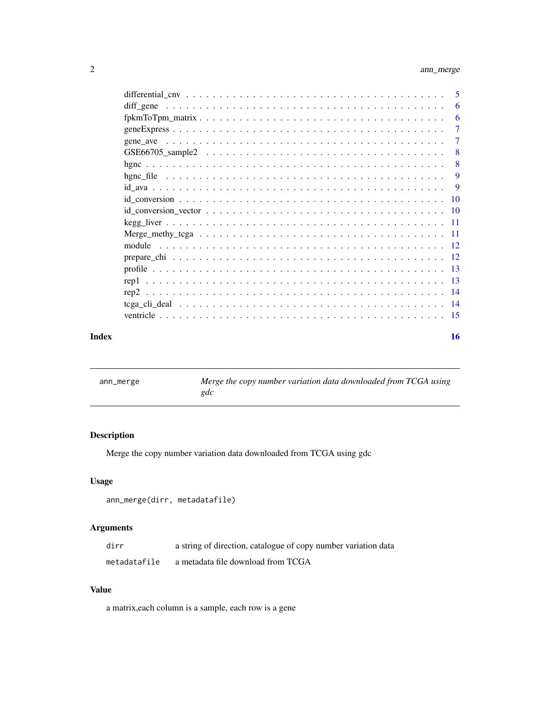<span id="page-1-0"></span>

|       |                                                                                                                                                                                                                                            | 5              |
|-------|--------------------------------------------------------------------------------------------------------------------------------------------------------------------------------------------------------------------------------------------|----------------|
|       | diff gene<br>and a constitution of the constitution of the constitution of the constitution of the constitution of the constitution of the constitution of the constitution of the constitution of the constitution of the constitution of | 6              |
|       |                                                                                                                                                                                                                                            | 6              |
|       |                                                                                                                                                                                                                                            | $\tau$         |
|       |                                                                                                                                                                                                                                            | $\overline{7}$ |
|       |                                                                                                                                                                                                                                            | 8              |
|       |                                                                                                                                                                                                                                            | 8              |
|       |                                                                                                                                                                                                                                            | 9              |
|       |                                                                                                                                                                                                                                            | - 9            |
|       |                                                                                                                                                                                                                                            |                |
|       |                                                                                                                                                                                                                                            |                |
|       |                                                                                                                                                                                                                                            |                |
|       |                                                                                                                                                                                                                                            |                |
|       |                                                                                                                                                                                                                                            |                |
|       |                                                                                                                                                                                                                                            |                |
|       |                                                                                                                                                                                                                                            |                |
|       |                                                                                                                                                                                                                                            |                |
|       |                                                                                                                                                                                                                                            |                |
|       |                                                                                                                                                                                                                                            |                |
|       |                                                                                                                                                                                                                                            |                |
| Index |                                                                                                                                                                                                                                            | 16             |

| ann_merge | Merge the copy number variation data downloaded from TCGA using |
|-----------|-----------------------------------------------------------------|
|           | gdc                                                             |

Merge the copy number variation data downloaded from TCGA using gdc

## Usage

```
ann_merge(dirr, metadatafile)
```
## Arguments

| dirr         | a string of direction, catalogue of copy number variation data |
|--------------|----------------------------------------------------------------|
| metadatafile | a metadata file download from TCGA                             |

## Value

a matrix,each column is a sample, each row is a gene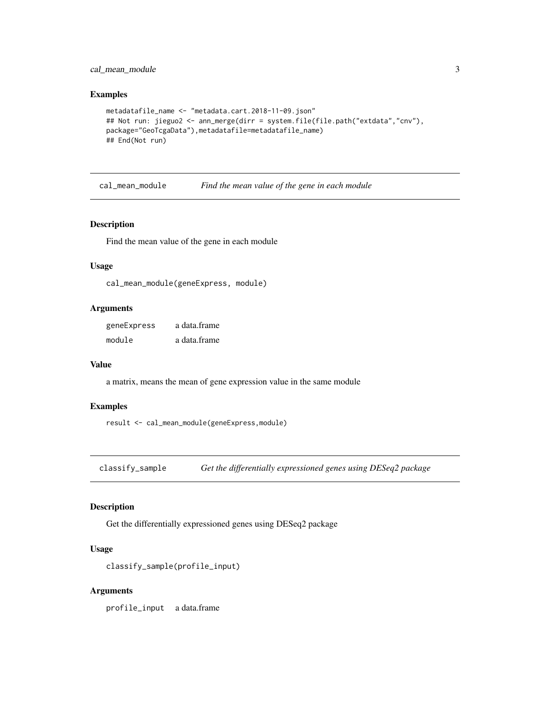## <span id="page-2-0"></span>cal\_mean\_module 3

#### Examples

```
metadatafile_name <- "metadata.cart.2018-11-09.json"
## Not run: jieguo2 <- ann_merge(dirr = system.file(file.path("extdata","cnv"),
package="GeoTcgaData"),metadatafile=metadatafile_name)
## End(Not run)
```
cal\_mean\_module *Find the mean value of the gene in each module*

## Description

Find the mean value of the gene in each module

## Usage

```
cal_mean_module(geneExpress, module)
```
#### Arguments

geneExpress a data.frame module a data.frame

### Value

a matrix, means the mean of gene expression value in the same module

## Examples

```
result <- cal_mean_module(geneExpress,module)
```
classify\_sample *Get the differentially expressioned genes using DESeq2 package*

## Description

Get the differentially expressioned genes using DESeq2 package

## Usage

```
classify_sample(profile_input)
```
## Arguments

profile\_input a data.frame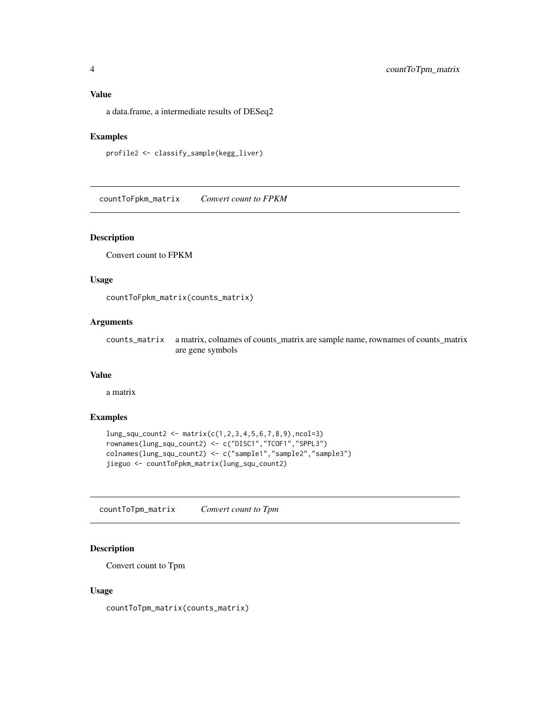<span id="page-3-0"></span>a data.frame, a intermediate results of DESeq2

## Examples

```
profile2 <- classify_sample(kegg_liver)
```
countToFpkm\_matrix *Convert count to FPKM*

## Description

Convert count to FPKM

## Usage

countToFpkm\_matrix(counts\_matrix)

## Arguments

counts\_matrix a matrix, colnames of counts\_matrix are sample name, rownames of counts\_matrix are gene symbols

## Value

a matrix

## Examples

```
lung_squ_count2 <- matrix(c(1,2,3,4,5,6,7,8,9),ncol=3)
rownames(lung_squ_count2) <- c("DISC1","TCOF1","SPPL3")
colnames(lung_squ_count2) <- c("sample1","sample2","sample3")
jieguo <- countToFpkm_matrix(lung_squ_count2)
```
countToTpm\_matrix *Convert count to Tpm*

## Description

Convert count to Tpm

## Usage

countToTpm\_matrix(counts\_matrix)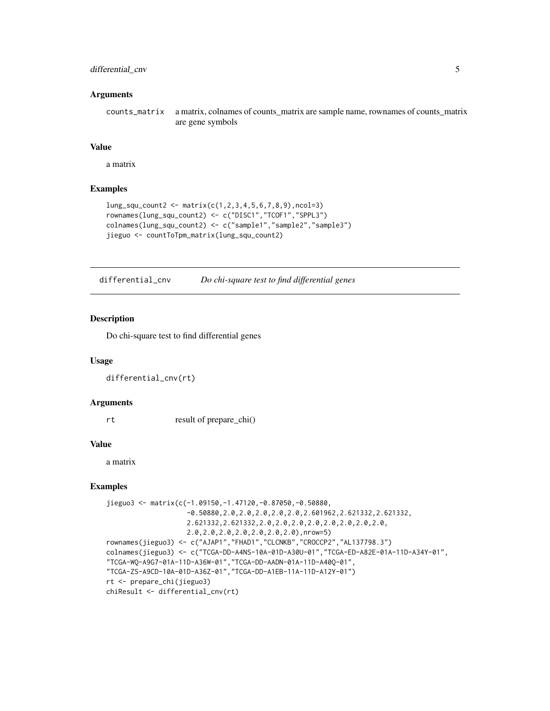## <span id="page-4-0"></span>differential\_cnv 5

#### Arguments

counts\_matrix a matrix, colnames of counts\_matrix are sample name, rownames of counts\_matrix are gene symbols

## Value

a matrix

## Examples

```
lung_squ_counts < - matrix(c(1, 2, 3, 4, 5, 6, 7, 8, 9), ncol=3)rownames(lung_squ_count2) <- c("DISC1","TCOF1","SPPL3")
colnames(lung_squ_count2) <- c("sample1","sample2","sample3")
jieguo <- countToTpm_matrix(lung_squ_count2)
```
differential\_cnv *Do chi-square test to find differential genes*

## Description

Do chi-square test to find differential genes

#### Usage

```
differential_cnv(rt)
```
## Arguments

rt result of prepare\_chi()

## Value

a matrix

```
jieguo3 <- matrix(c(-1.09150,-1.47120,-0.87050,-0.50880,
                    -0.50880,2.0,2.0,2.0,2.0,2.0,2.601962,2.621332,2.621332,
                    2.621332,2.621332,2.0,2.0,2.0,2.0,2.0,2.0,2.0,2.0,
                    2.0,2.0,2.0,2.0,2.0,2.0,2.0),nrow=5)
rownames(jieguo3) <- c("AJAP1","FHAD1","CLCNKB","CROCCP2","AL137798.3")
colnames(jieguo3) <- c("TCGA-DD-A4NS-10A-01D-A30U-01","TCGA-ED-A82E-01A-11D-A34Y-01",
"TCGA-WQ-A9G7-01A-11D-A36W-01","TCGA-DD-AADN-01A-11D-A40Q-01",
"TCGA-ZS-A9CD-10A-01D-A36Z-01","TCGA-DD-A1EB-11A-11D-A12Y-01")
rt <- prepare_chi(jieguo3)
chiResult <- differential_cnv(rt)
```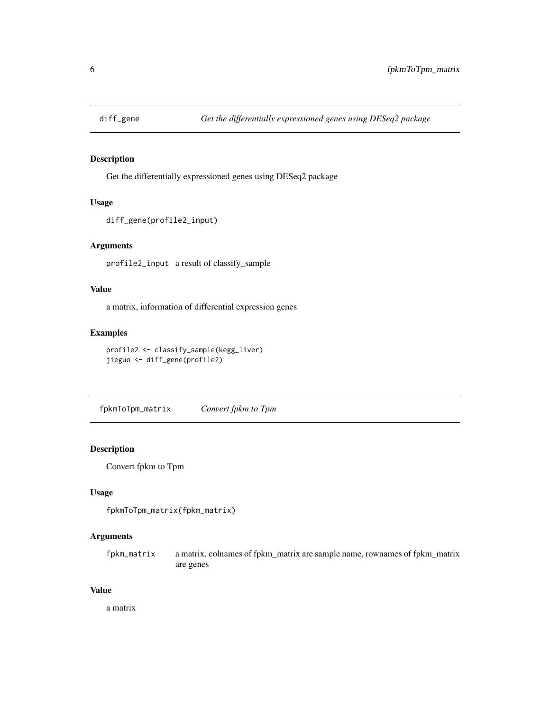<span id="page-5-0"></span>

Get the differentially expressioned genes using DESeq2 package

## Usage

```
diff_gene(profile2_input)
```
## Arguments

profile2\_input a result of classify\_sample

## Value

a matrix, information of differential expression genes

## Examples

```
profile2 <- classify_sample(kegg_liver)
jieguo <- diff_gene(profile2)
```
fpkmToTpm\_matrix *Convert fpkm to Tpm*

## **Description**

Convert fpkm to Tpm

## Usage

```
fpkmToTpm_matrix(fpkm_matrix)
```
## Arguments

fpkm\_matrix a matrix, colnames of fpkm\_matrix are sample name, rownames of fpkm\_matrix are genes

#### Value

a matrix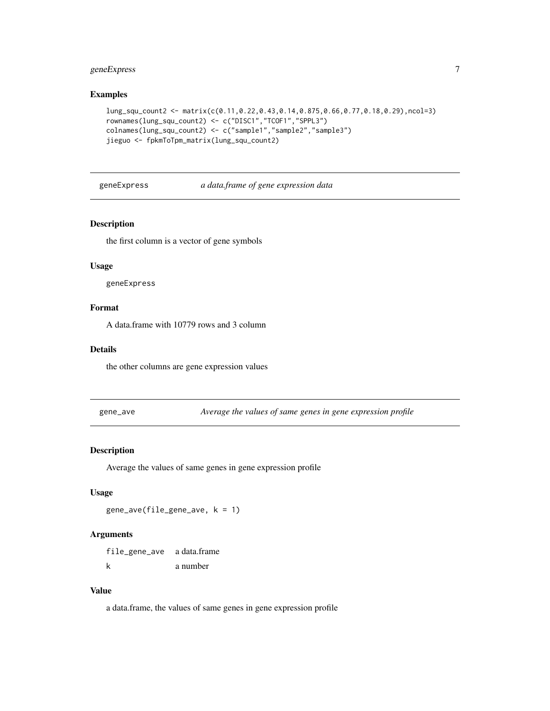## <span id="page-6-0"></span>geneExpress 7

## Examples

```
lung_squ_count2 <- matrix(c(0.11,0.22,0.43,0.14,0.875,0.66,0.77,0.18,0.29),ncol=3)
rownames(lung_squ_count2) <- c("DISC1","TCOF1","SPPL3")
colnames(lung_squ_count2) <- c("sample1","sample2","sample3")
jieguo <- fpkmToTpm_matrix(lung_squ_count2)
```
geneExpress *a data.frame of gene expression data*

## Description

the first column is a vector of gene symbols

## Usage

geneExpress

## Format

A data.frame with 10779 rows and 3 column

## Details

the other columns are gene expression values

gene\_ave *Average the values of same genes in gene expression profile*

## Description

Average the values of same genes in gene expression profile

## Usage

gene\_ave(file\_gene\_ave, k = 1)

## Arguments

file\_gene\_ave a data.frame k a number

## Value

a data.frame, the values of same genes in gene expression profile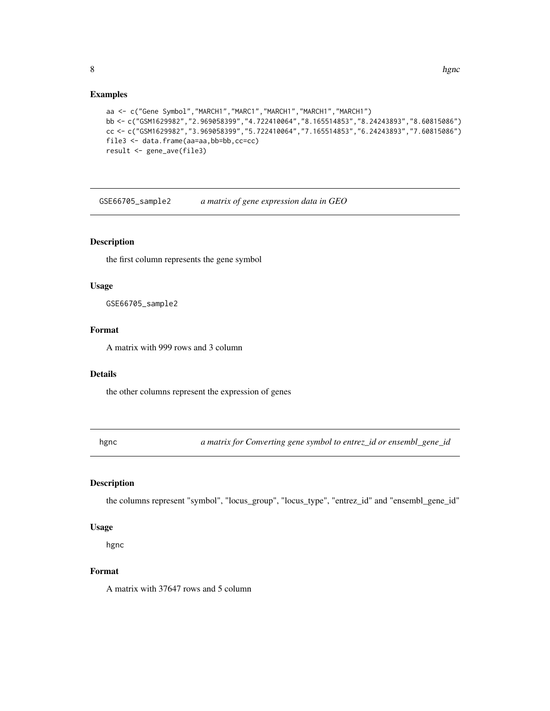#### Examples

```
aa <- c("Gene Symbol","MARCH1","MARC1","MARCH1","MARCH1","MARCH1")
bb <- c("GSM1629982","2.969058399","4.722410064","8.165514853","8.24243893","8.60815086")
cc <- c("GSM1629982","3.969058399","5.722410064","7.165514853","6.24243893","7.60815086")
file3 <- data.frame(aa=aa,bb=bb,cc=cc)
result <- gene_ave(file3)
```
GSE66705\_sample2 *a matrix of gene expression data in GEO*

## Description

the first column represents the gene symbol

#### Usage

GSE66705\_sample2

## Format

A matrix with 999 rows and 3 column

#### Details

the other columns represent the expression of genes

hgnc *a matrix for Converting gene symbol to entrez\_id or ensembl\_gene\_id*

## Description

the columns represent "symbol", "locus\_group", "locus\_type", "entrez\_id" and "ensembl\_gene\_id"

## Usage

hgnc

#### Format

A matrix with 37647 rows and 5 column

<span id="page-7-0"></span>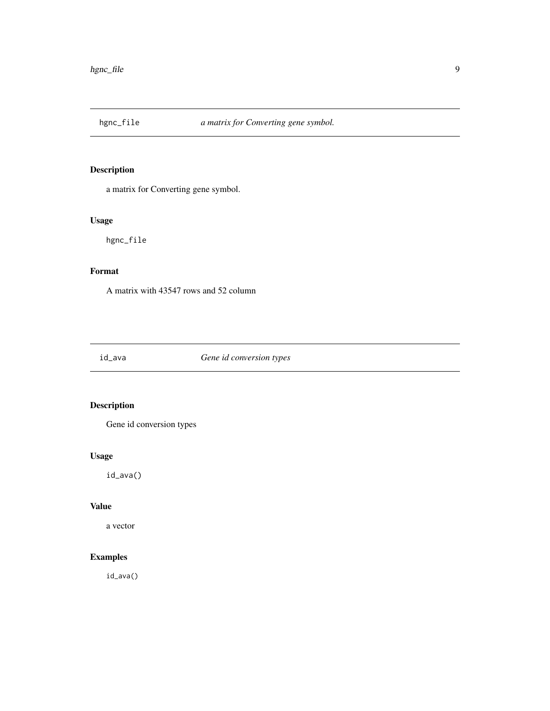<span id="page-8-0"></span>

a matrix for Converting gene symbol.

## Usage

hgnc\_file

## Format

A matrix with 43547 rows and 52 column

id\_ava *Gene id conversion types*

## Description

Gene id conversion types

## Usage

id\_ava()

## Value

a vector

## Examples

id\_ava()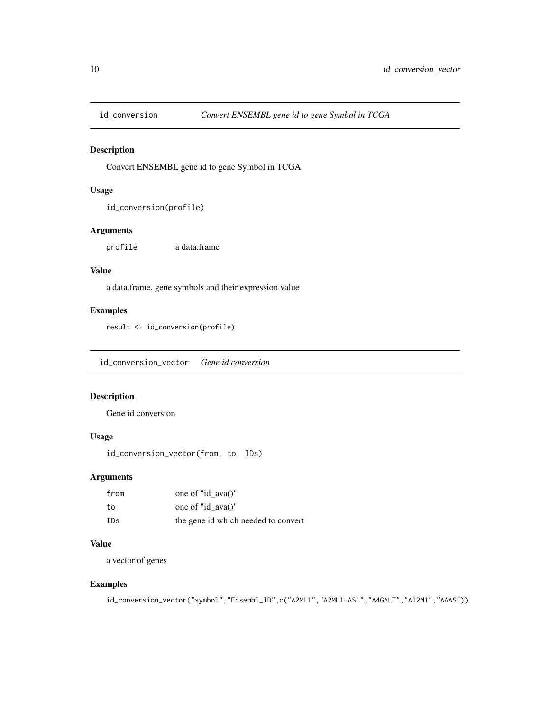<span id="page-9-0"></span>

Convert ENSEMBL gene id to gene Symbol in TCGA

## Usage

```
id_conversion(profile)
```
## Arguments

profile a data.frame

## Value

a data.frame, gene symbols and their expression value

## Examples

result <- id\_conversion(profile)

id\_conversion\_vector *Gene id conversion*

## Description

Gene id conversion

## Usage

id\_conversion\_vector(from, to, IDs)

## Arguments

| from | one of "id $ava()$ "                |
|------|-------------------------------------|
| to   | one of "id $ava()$ "                |
| IDs  | the gene id which needed to convert |

## Value

a vector of genes

```
id_conversion_vector("symbol","Ensembl_ID",c("A2ML1","A2ML1-AS1","A4GALT","A12M1","AAAS"))
```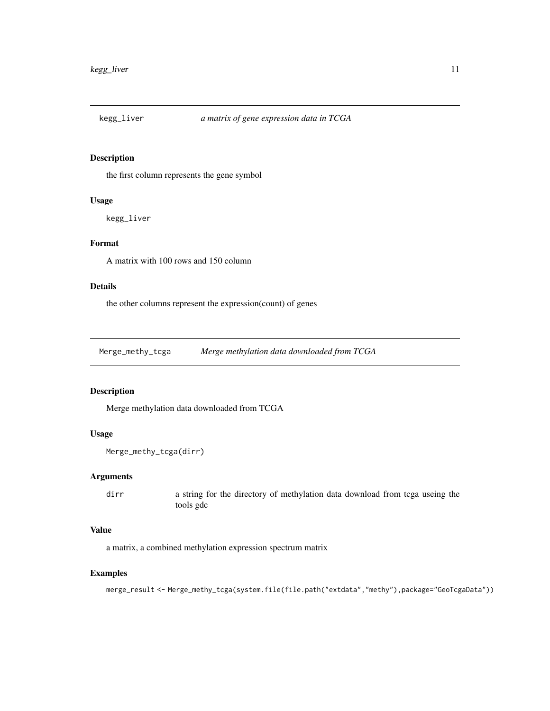<span id="page-10-0"></span>

the first column represents the gene symbol

## Usage

kegg\_liver

## Format

A matrix with 100 rows and 150 column

## Details

the other columns represent the expression(count) of genes

Merge\_methy\_tcga *Merge methylation data downloaded from TCGA*

## Description

Merge methylation data downloaded from TCGA

## Usage

```
Merge_methy_tcga(dirr)
```
## Arguments

dirr a string for the directory of methylation data download from tcga useing the tools gdc

## Value

a matrix, a combined methylation expression spectrum matrix

## Examples

merge\_result <- Merge\_methy\_tcga(system.file(file.path("extdata","methy"),package="GeoTcgaData"))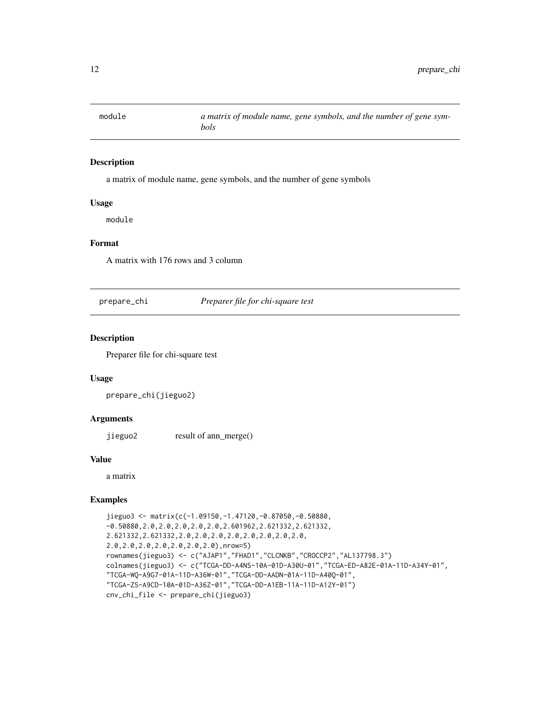<span id="page-11-0"></span>

a matrix of module name, gene symbols, and the number of gene symbols

## Usage

module

## Format

A matrix with 176 rows and 3 column

prepare\_chi *Preparer file for chi-square test*

## Description

Preparer file for chi-square test

## Usage

prepare\_chi(jieguo2)

## Arguments

jieguo2 result of ann\_merge()

## Value

a matrix

```
jieguo3 <- matrix(c(-1.09150,-1.47120,-0.87050,-0.50880,
-0.50880,2.0,2.0,2.0,2.0,2.0,2.601962,2.621332,2.621332,
2.621332,2.621332,2.0,2.0,2.0,2.0,2.0,2.0,2.0,2.0,
2.0,2.0,2.0,2.0,2.0,2.0,2.0),nrow=5)
rownames(jieguo3) <- c("AJAP1","FHAD1","CLCNKB","CROCCP2","AL137798.3")
colnames(jieguo3) <- c("TCGA-DD-A4NS-10A-01D-A30U-01","TCGA-ED-A82E-01A-11D-A34Y-01",
"TCGA-WQ-A9G7-01A-11D-A36W-01","TCGA-DD-AADN-01A-11D-A40Q-01",
"TCGA-ZS-A9CD-10A-01D-A36Z-01","TCGA-DD-A1EB-11A-11D-A12Y-01")
cnv_chi_file <- prepare_chi(jieguo3)
```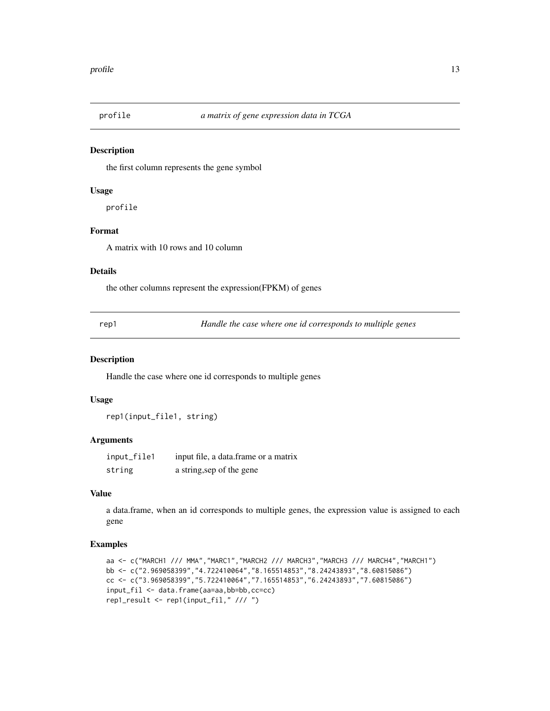<span id="page-12-0"></span>

the first column represents the gene symbol

#### Usage

profile

## Format

A matrix with 10 rows and 10 column

## Details

the other columns represent the expression(FPKM) of genes

rep1 *Handle the case where one id corresponds to multiple genes*

#### Description

Handle the case where one id corresponds to multiple genes

## Usage

rep1(input\_file1, string)

#### Arguments

| input_file1 | input file, a data frame or a matrix |
|-------------|--------------------------------------|
| string      | a string, sep of the gene            |

## Value

a data.frame, when an id corresponds to multiple genes, the expression value is assigned to each gene

```
aa <- c("MARCH1 /// MMA","MARC1","MARCH2 /// MARCH3","MARCH3 /// MARCH4","MARCH1")
bb <- c("2.969058399","4.722410064","8.165514853","8.24243893","8.60815086")
cc <- c("3.969058399","5.722410064","7.165514853","6.24243893","7.60815086")
input_fil <- data.frame(aa=aa,bb=bb,cc=cc)
rep1_result <- rep1(input_fil," /// ")
```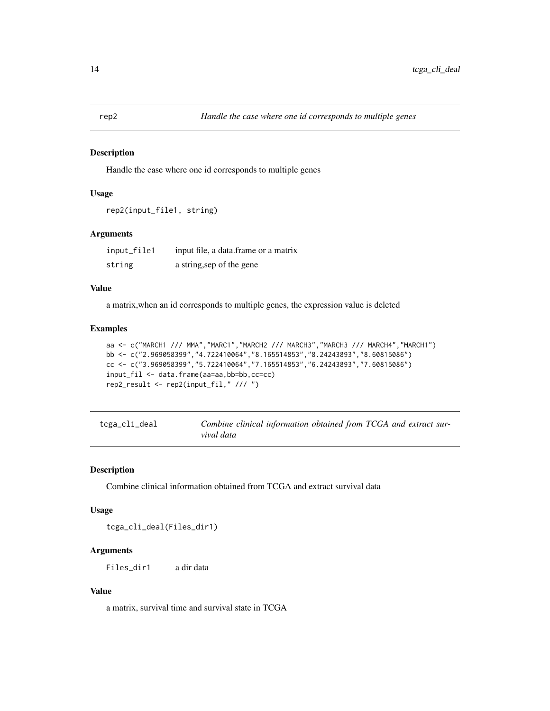<span id="page-13-0"></span>

Handle the case where one id corresponds to multiple genes

## Usage

```
rep2(input_file1, string)
```
## Arguments

| input_file1 | input file, a data frame or a matrix |
|-------------|--------------------------------------|
| string      | a string, sep of the gene            |

## Value

a matrix,when an id corresponds to multiple genes, the expression value is deleted

#### Examples

```
aa <- c("MARCH1 /// MMA","MARC1","MARCH2 /// MARCH3","MARCH3 /// MARCH4","MARCH1")
bb <- c("2.969058399","4.722410064","8.165514853","8.24243893","8.60815086")
cc <- c("3.969058399","5.722410064","7.165514853","6.24243893","7.60815086")
input_fil <- data.frame(aa=aa,bb=bb,cc=cc)
rep2_result <- rep2(input_fil," /// ")
```

| tcga_cli_deal | Combine clinical information obtained from TCGA and extract sur- |
|---------------|------------------------------------------------------------------|
|               | vival data                                                       |

## Description

Combine clinical information obtained from TCGA and extract survival data

#### Usage

tcga\_cli\_deal(Files\_dir1)

## Arguments

Files\_dir1 a dir data

## Value

a matrix, survival time and survival state in TCGA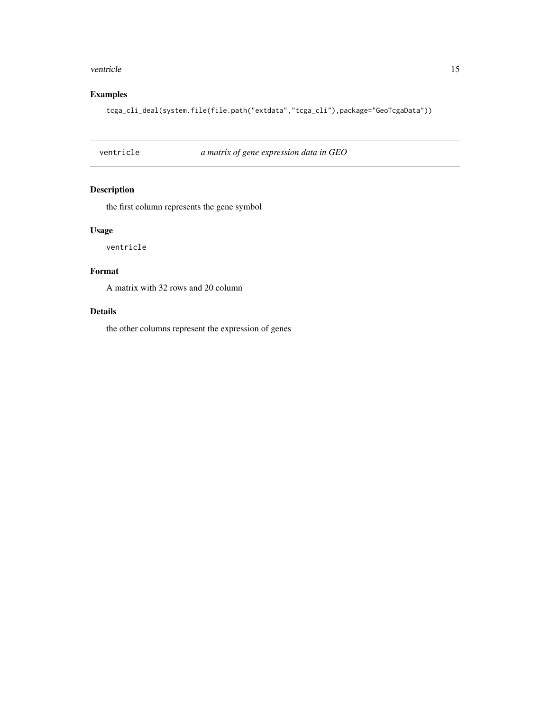#### <span id="page-14-0"></span>ventricle 15

## Examples

tcga\_cli\_deal(system.file(file.path("extdata","tcga\_cli"),package="GeoTcgaData"))

ventricle *a matrix of gene expression data in GEO*

## Description

the first column represents the gene symbol

## Usage

ventricle

## Format

A matrix with 32 rows and 20 column

## Details

the other columns represent the expression of genes